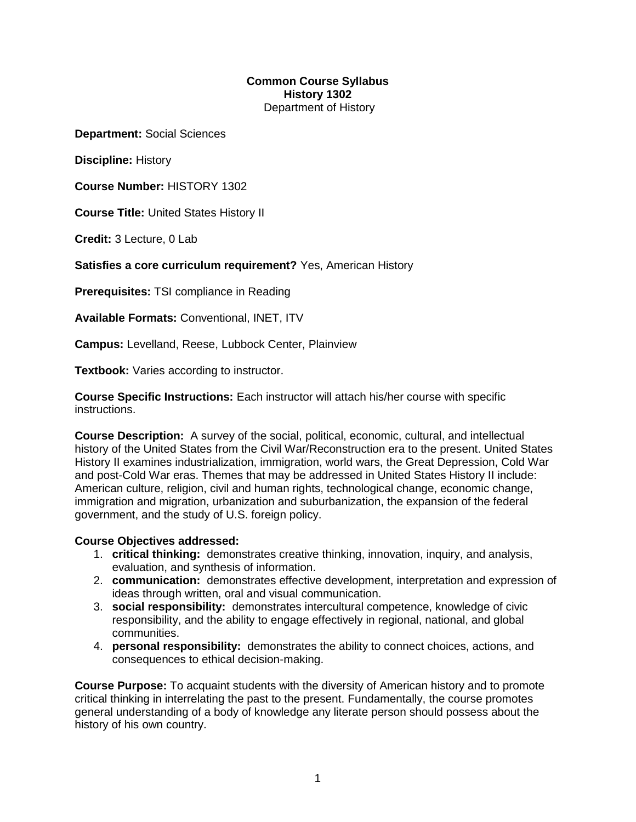## **Common Course Syllabus History 1302** Department of History

**Department:** Social Sciences

**Discipline:** History

**Course Number:** HISTORY 1302

**Course Title:** United States History II

**Credit:** 3 Lecture, 0 Lab

**Satisfies a core curriculum requirement?** Yes, American History

**Prerequisites:** TSI compliance in Reading

**Available Formats:** Conventional, INET, ITV

**Campus:** Levelland, Reese, Lubbock Center, Plainview

**Textbook:** Varies according to instructor.

**Course Specific Instructions:** Each instructor will attach his/her course with specific instructions.

**Course Description:** A survey of the social, political, economic, cultural, and intellectual history of the United States from the Civil War/Reconstruction era to the present. United States History II examines industrialization, immigration, world wars, the Great Depression, Cold War and post-Cold War eras. Themes that may be addressed in United States History II include: American culture, religion, civil and human rights, technological change, economic change, immigration and migration, urbanization and suburbanization, the expansion of the federal government, and the study of U.S. foreign policy.

## **Course Objectives addressed:**

- 1. **critical thinking:** demonstrates creative thinking, innovation, inquiry, and analysis, evaluation, and synthesis of information.
- 2. **communication:** demonstrates effective development, interpretation and expression of ideas through written, oral and visual communication.
- 3. **social responsibility:** demonstrates intercultural competence, knowledge of civic responsibility, and the ability to engage effectively in regional, national, and global communities.
- 4. **personal responsibility:** demonstrates the ability to connect choices, actions, and consequences to ethical decision-making.

**Course Purpose:** To acquaint students with the diversity of American history and to promote critical thinking in interrelating the past to the present. Fundamentally, the course promotes general understanding of a body of knowledge any literate person should possess about the history of his own country.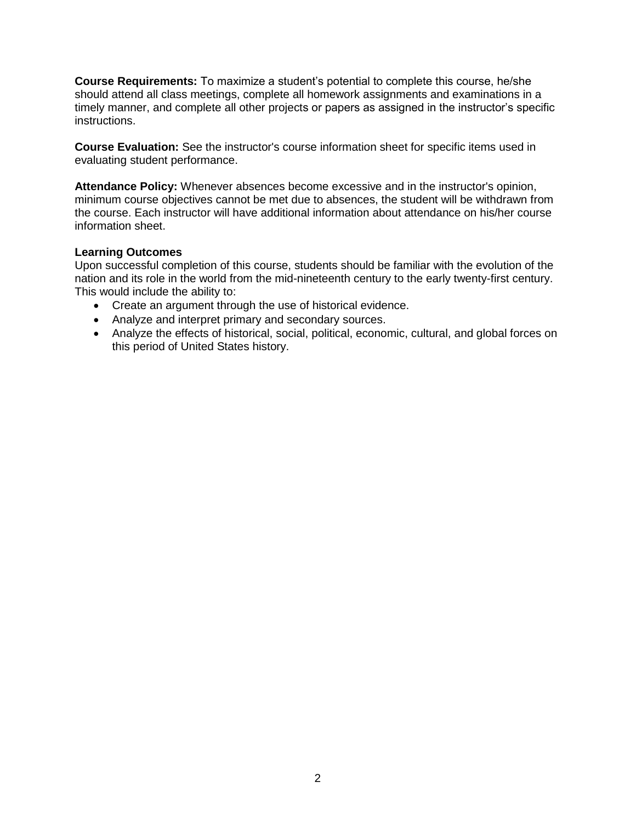**Course Requirements:** To maximize a student's potential to complete this course, he/she should attend all class meetings, complete all homework assignments and examinations in a timely manner, and complete all other projects or papers as assigned in the instructor's specific instructions.

**Course Evaluation:** See the instructor's course information sheet for specific items used in evaluating student performance.

**Attendance Policy:** Whenever absences become excessive and in the instructor's opinion, minimum course objectives cannot be met due to absences, the student will be withdrawn from the course. Each instructor will have additional information about attendance on his/her course information sheet.

### **Learning Outcomes**

Upon successful completion of this course, students should be familiar with the evolution of the nation and its role in the world from the mid-nineteenth century to the early twenty-first century. This would include the ability to:

- Create an argument through the use of historical evidence.
- Analyze and interpret primary and secondary sources.
- Analyze the effects of historical, social, political, economic, cultural, and global forces on this period of United States history.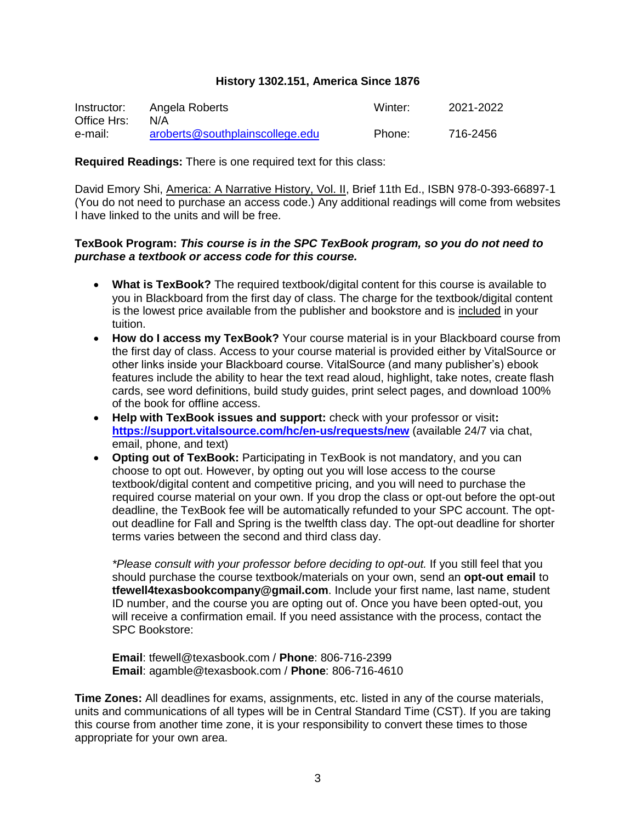### **History 1302.151, America Since 1876**

| Instructor: | Angela Roberts                  | Winter: | 2021-2022 |
|-------------|---------------------------------|---------|-----------|
| Office Hrs: | N/A                             |         |           |
| e-mail:     | aroberts@southplainscollege.edu | Phone:  | 716-2456  |

**Required Readings:** There is one required text for this class:

David Emory Shi, America: A Narrative History, Vol. II, Brief 11th Ed., ISBN 978-0-393-66897-1 (You do not need to purchase an access code.) Any additional readings will come from websites I have linked to the units and will be free.

#### **TexBook Program:** *This course is in the SPC TexBook program, so you do not need to purchase a textbook or access code for this course.*

- **What is TexBook?** The required textbook/digital content for this course is available to you in Blackboard from the first day of class. The charge for the textbook/digital content is the lowest price available from the publisher and bookstore and is included in your tuition.
- **How do I access my TexBook?** Your course material is in your Blackboard course from the first day of class. Access to your course material is provided either by VitalSource or other links inside your Blackboard course. VitalSource (and many publisher's) ebook features include the ability to hear the text read aloud, highlight, take notes, create flash cards, see word definitions, build study guides, print select pages, and download 100% of the book for offline access.
- **Help with TexBook issues and support:** check with your professor or visit**: <https://support.vitalsource.com/hc/en-us/requests/new>** (available 24/7 via chat, email, phone, and text)
- **Opting out of TexBook:** Participating in TexBook is not mandatory, and you can choose to opt out. However, by opting out you will lose access to the course textbook/digital content and competitive pricing, and you will need to purchase the required course material on your own. If you drop the class or opt-out before the opt-out deadline, the TexBook fee will be automatically refunded to your SPC account. The optout deadline for Fall and Spring is the twelfth class day. The opt-out deadline for shorter terms varies between the second and third class day.

*\*Please consult with your professor before deciding to opt-out.* If you still feel that you should purchase the course textbook/materials on your own, send an **opt-out email** to **tfewell4texasbookcompany@gmail.com**. Include your first name, last name, student ID number, and the course you are opting out of. Once you have been opted-out, you will receive a confirmation email. If you need assistance with the process, contact the SPC Bookstore:

**Email**: tfewell@texasbook.com / **Phone**: 806-716-2399 **Email**: agamble@texasbook.com / **Phone**: 806-716-4610

**Time Zones:** All deadlines for exams, assignments, etc. listed in any of the course materials, units and communications of all types will be in Central Standard Time (CST). If you are taking this course from another time zone, it is your responsibility to convert these times to those appropriate for your own area.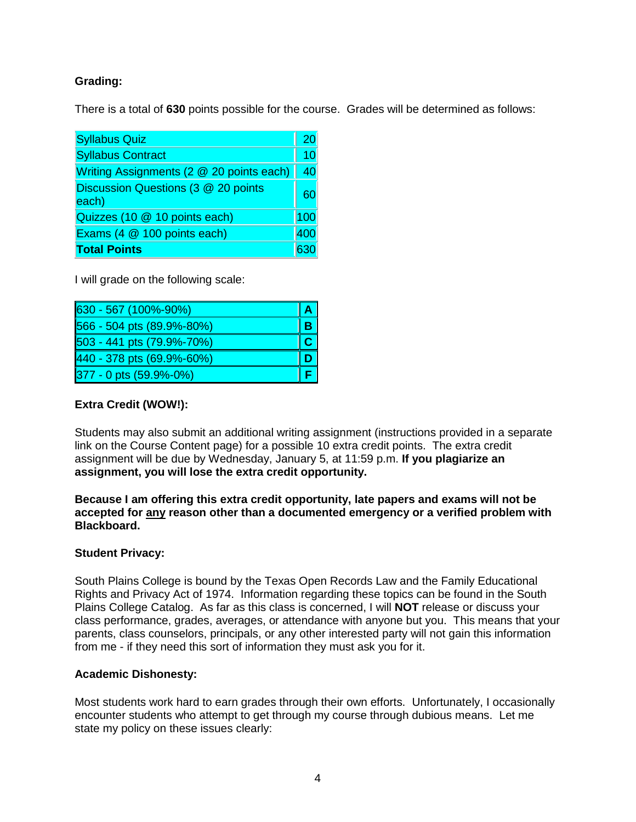# **Grading:**

There is a total of **630** points possible for the course. Grades will be determined as follows:

| <b>Syllabus Quiz</b>                         |     |
|----------------------------------------------|-----|
| <b>Syllabus Contract</b>                     |     |
| Writing Assignments (2 @ 20 points each)     |     |
| Discussion Questions (3 @ 20 points<br>each) |     |
| Quizzes (10 @ 10 points each)                | 100 |
| Exams (4 @ 100 points each)<br>400           |     |
| <b>Total Points</b>                          |     |

I will grade on the following scale:

| 630 - 567 (100%-90%)      |  |
|---------------------------|--|
| 566 - 504 pts (89.9%-80%) |  |
| 503 - 441 pts (79.9%-70%) |  |
| 440 - 378 pts (69.9%-60%) |  |
| 377 - 0 pts (59.9%-0%)    |  |

# **Extra Credit (WOW!):**

Students may also submit an additional writing assignment (instructions provided in a separate link on the Course Content page) for a possible 10 extra credit points. The extra credit assignment will be due by Wednesday, January 5, at 11:59 p.m. **If you plagiarize an assignment, you will lose the extra credit opportunity.** 

**Because I am offering this extra credit opportunity, late papers and exams will not be accepted for any reason other than a documented emergency or a verified problem with Blackboard.**

## **Student Privacy:**

South Plains College is bound by the Texas Open Records Law and the Family Educational Rights and Privacy Act of 1974. Information regarding these topics can be found in the South Plains College Catalog. As far as this class is concerned, I will **NOT** release or discuss your class performance, grades, averages, or attendance with anyone but you. This means that your parents, class counselors, principals, or any other interested party will not gain this information from me - if they need this sort of information they must ask you for it.

## **Academic Dishonesty:**

Most students work hard to earn grades through their own efforts. Unfortunately, I occasionally encounter students who attempt to get through my course through dubious means. Let me state my policy on these issues clearly: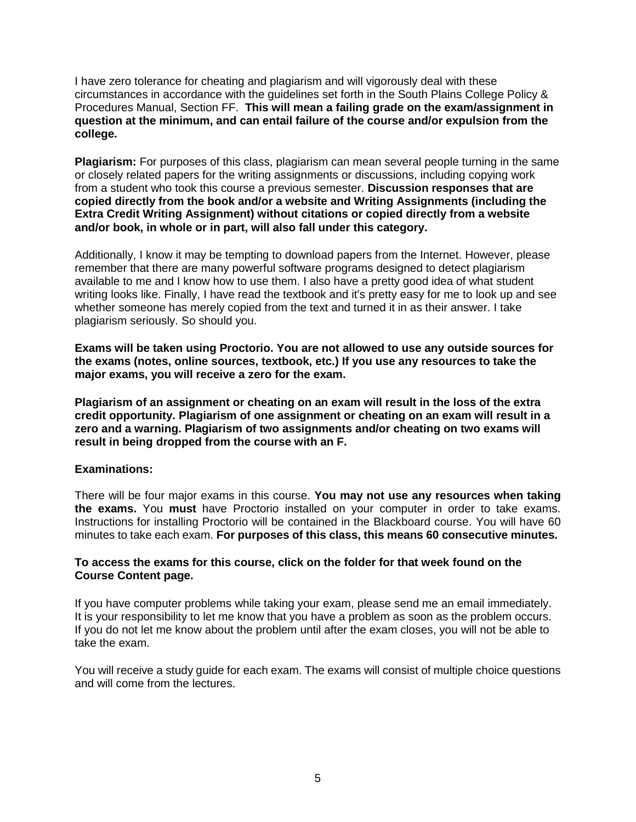I have zero tolerance for cheating and plagiarism and will vigorously deal with these circumstances in accordance with the guidelines set forth in the South Plains College Policy & Procedures Manual, Section FF. **This will mean a failing grade on the exam/assignment in question at the minimum, and can entail failure of the course and/or expulsion from the college.**

**Plagiarism:** For purposes of this class, plagiarism can mean several people turning in the same or closely related papers for the writing assignments or discussions, including copying work from a student who took this course a previous semester. **Discussion responses that are copied directly from the book and/or a website and Writing Assignments (including the Extra Credit Writing Assignment) without citations or copied directly from a website and/or book, in whole or in part, will also fall under this category.**

Additionally, I know it may be tempting to download papers from the Internet. However, please remember that there are many powerful software programs designed to detect plagiarism available to me and I know how to use them. I also have a pretty good idea of what student writing looks like. Finally, I have read the textbook and it's pretty easy for me to look up and see whether someone has merely copied from the text and turned it in as their answer. I take plagiarism seriously. So should you.

**Exams will be taken using Proctorio. You are not allowed to use any outside sources for the exams (notes, online sources, textbook, etc.) If you use any resources to take the major exams, you will receive a zero for the exam.** 

**Plagiarism of an assignment or cheating on an exam will result in the loss of the extra credit opportunity. Plagiarism of one assignment or cheating on an exam will result in a zero and a warning. Plagiarism of two assignments and/or cheating on two exams will result in being dropped from the course with an F.** 

#### **Examinations:**

There will be four major exams in this course. **You may not use any resources when taking the exams.** You **must** have Proctorio installed on your computer in order to take exams. Instructions for installing Proctorio will be contained in the Blackboard course. You will have 60 minutes to take each exam. **For purposes of this class, this means 60 consecutive minutes.**

### **To access the exams for this course, click on the folder for that week found on the Course Content page.**

If you have computer problems while taking your exam, please send me an email immediately. It is your responsibility to let me know that you have a problem as soon as the problem occurs. If you do not let me know about the problem until after the exam closes, you will not be able to take the exam.

You will receive a study guide for each exam. The exams will consist of multiple choice questions and will come from the lectures.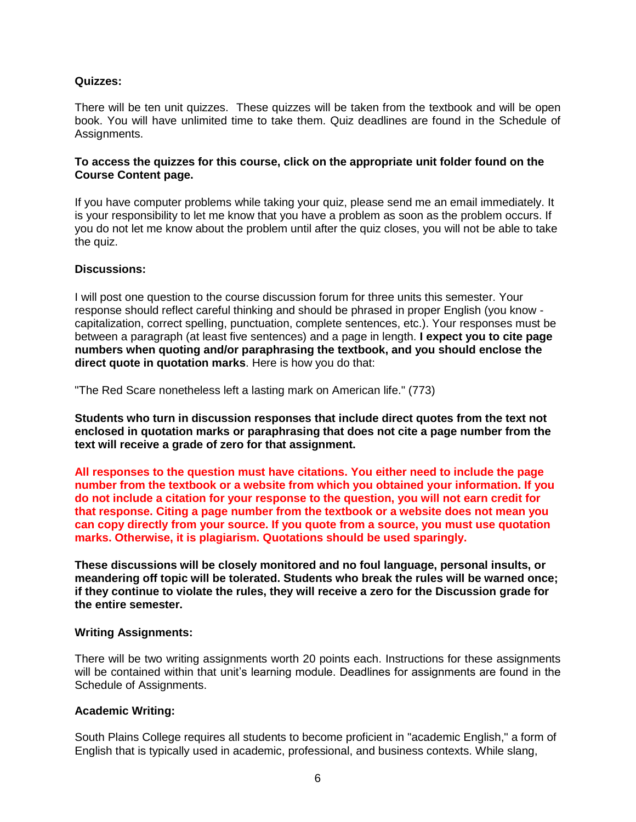### **Quizzes:**

There will be ten unit quizzes. These quizzes will be taken from the textbook and will be open book. You will have unlimited time to take them. Quiz deadlines are found in the Schedule of Assignments.

### **To access the quizzes for this course, click on the appropriate unit folder found on the Course Content page.**

If you have computer problems while taking your quiz, please send me an email immediately. It is your responsibility to let me know that you have a problem as soon as the problem occurs. If you do not let me know about the problem until after the quiz closes, you will not be able to take the quiz.

### **Discussions:**

I will post one question to the course discussion forum for three units this semester. Your response should reflect careful thinking and should be phrased in proper English (you know capitalization, correct spelling, punctuation, complete sentences, etc.). Your responses must be between a paragraph (at least five sentences) and a page in length. **I expect you to cite page numbers when quoting and/or paraphrasing the textbook, and you should enclose the direct quote in quotation marks**. Here is how you do that:

"The Red Scare nonetheless left a lasting mark on American life." (773)

**Students who turn in discussion responses that include direct quotes from the text not enclosed in quotation marks or paraphrasing that does not cite a page number from the text will receive a grade of zero for that assignment.**

**All responses to the question must have citations. You either need to include the page number from the textbook or a website from which you obtained your information. If you do not include a citation for your response to the question, you will not earn credit for that response. Citing a page number from the textbook or a website does not mean you can copy directly from your source. If you quote from a source, you must use quotation marks. Otherwise, it is plagiarism. Quotations should be used sparingly.** 

**These discussions will be closely monitored and no foul language, personal insults, or meandering off topic will be tolerated. Students who break the rules will be warned once; if they continue to violate the rules, they will receive a zero for the Discussion grade for the entire semester.**

#### **Writing Assignments:**

There will be two writing assignments worth 20 points each. Instructions for these assignments will be contained within that unit's learning module. Deadlines for assignments are found in the Schedule of Assignments.

#### **Academic Writing:**

South Plains College requires all students to become proficient in "academic English," a form of English that is typically used in academic, professional, and business contexts. While slang,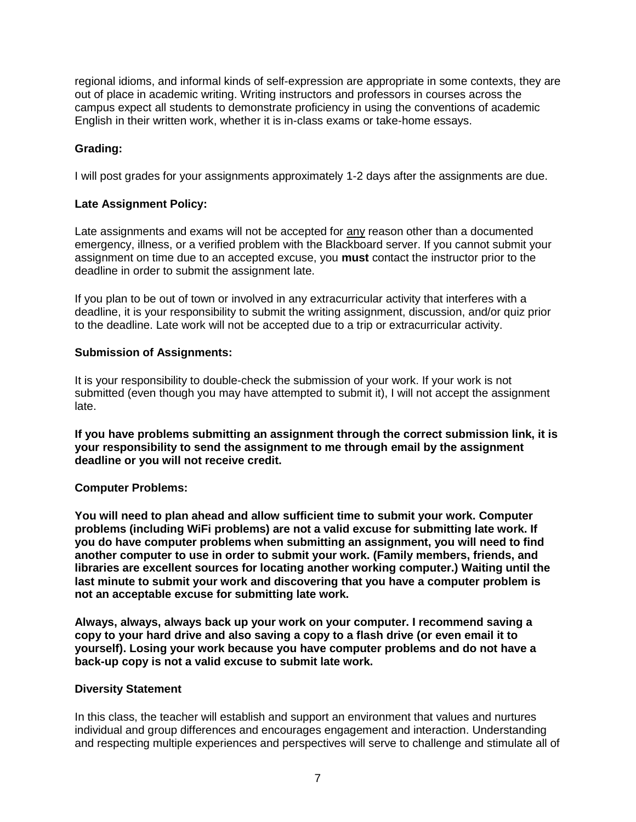regional idioms, and informal kinds of self-expression are appropriate in some contexts, they are out of place in academic writing. Writing instructors and professors in courses across the campus expect all students to demonstrate proficiency in using the conventions of academic English in their written work, whether it is in-class exams or take-home essays.

# **Grading:**

I will post grades for your assignments approximately 1-2 days after the assignments are due.

## **Late Assignment Policy:**

Late assignments and exams will not be accepted for any reason other than a documented emergency, illness, or a verified problem with the Blackboard server. If you cannot submit your assignment on time due to an accepted excuse, you **must** contact the instructor prior to the deadline in order to submit the assignment late.

If you plan to be out of town or involved in any extracurricular activity that interferes with a deadline, it is your responsibility to submit the writing assignment, discussion, and/or quiz prior to the deadline. Late work will not be accepted due to a trip or extracurricular activity.

### **Submission of Assignments:**

It is your responsibility to double-check the submission of your work. If your work is not submitted (even though you may have attempted to submit it), I will not accept the assignment late.

**If you have problems submitting an assignment through the correct submission link, it is your responsibility to send the assignment to me through email by the assignment deadline or you will not receive credit.** 

## **Computer Problems:**

**You will need to plan ahead and allow sufficient time to submit your work. Computer problems (including WiFi problems) are not a valid excuse for submitting late work. If you do have computer problems when submitting an assignment, you will need to find another computer to use in order to submit your work. (Family members, friends, and libraries are excellent sources for locating another working computer.) Waiting until the last minute to submit your work and discovering that you have a computer problem is not an acceptable excuse for submitting late work.** 

**Always, always, always back up your work on your computer. I recommend saving a copy to your hard drive and also saving a copy to a flash drive (or even email it to yourself). Losing your work because you have computer problems and do not have a back-up copy is not a valid excuse to submit late work.**

#### **Diversity Statement**

In this class, the teacher will establish and support an environment that values and nurtures individual and group differences and encourages engagement and interaction. Understanding and respecting multiple experiences and perspectives will serve to challenge and stimulate all of